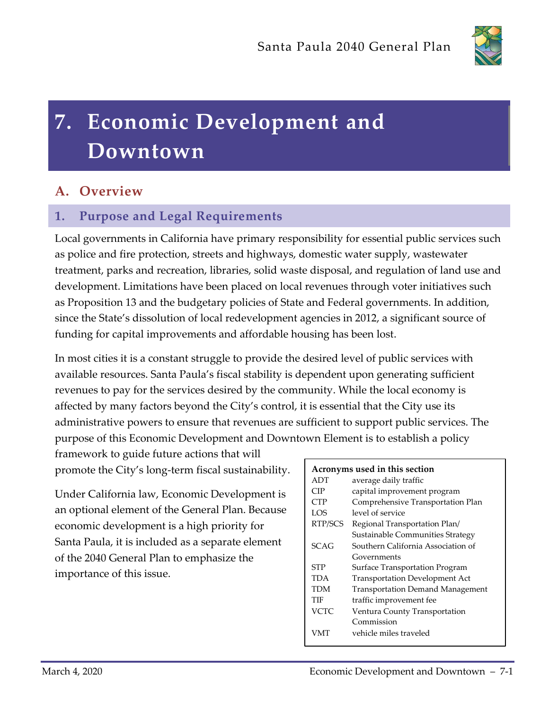

# **7. Economic Development and Downtown**

# **A. Overview**

# **1. Purpose and Legal Requirements**

Local governments in California have primary responsibility for essential public services such as police and fire protection, streets and highways, domestic water supply, wastewater treatment, parks and recreation, libraries, solid waste disposal, and regulation of land use and development. Limitations have been placed on local revenues through voter initiatives such as Proposition 13 and the budgetary policies of State and Federal governments. In addition, since the State's dissolution of local redevelopment agencies in 2012, a significant source of funding for capital improvements and affordable housing has been lost.

In most cities it is a constant struggle to provide the desired level of public services with available resources. Santa Paula's fiscal stability is dependent upon generating sufficient revenues to pay for the services desired by the community. While the local economy is affected by many factors beyond the City's control, it is essential that the City use its administrative powers to ensure that revenues are sufficient to support public services. The purpose of this Economic Development and Downtown Element is to establish a policy

framework to guide future actions that will promote the City's long-term fiscal sustainability.

Under California law, Economic Development is an optional element of the General Plan. Because economic development is a high priority for Santa Paula, it is included as a separate element of the 2040 General Plan to emphasize the importance of this issue.

| Acronyms used in this section |                                         |
|-------------------------------|-----------------------------------------|
| ADT                           | average daily traffic                   |
| CIP                           | capital improvement program             |
| <b>CTP</b>                    | Comprehensive Transportation Plan       |
| LOS                           | level of service                        |
| RTP/SCS                       | Regional Transportation Plan/           |
|                               | Sustainable Communities Strategy        |
| SCAG                          | Southern California Association of      |
|                               | Governments                             |
| <b>STP</b>                    | Surface Transportation Program          |
| TDA                           | <b>Transportation Development Act</b>   |
| TDM                           | <b>Transportation Demand Management</b> |
| TIF                           | traffic improvement fee                 |
| <b>VCTC</b>                   | Ventura County Transportation           |
|                               | Commission                              |
| VMT                           | vehicle miles traveled                  |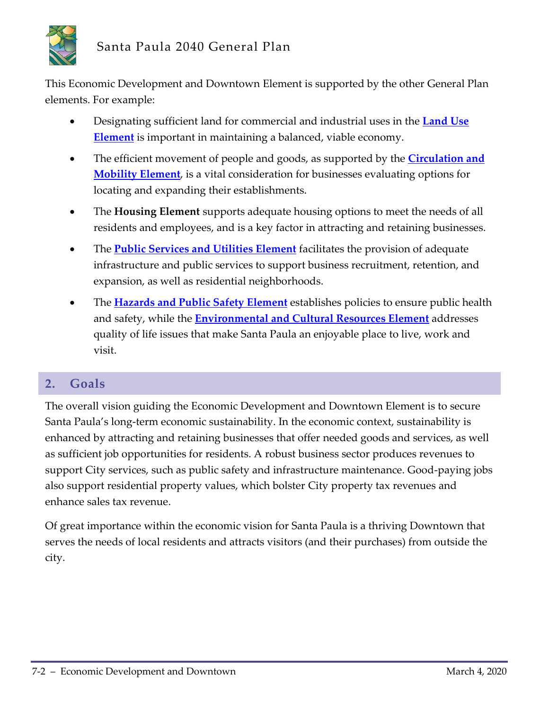

This Economic Development and Downtown Element is supported by the other General Plan elements. For example:

- Designating sufficient land for commercial and industrial uses in the **Land Use Element** is important in maintaining a balanced, viable economy.
- The efficient movement of people and goods, as supported by the **Circulation and Mobility Element**, is a vital consideration for businesses evaluating options for locating and expanding their establishments.
- The **Housing Element** supports adequate housing options to meet the needs of all residents and employees, and is a key factor in attracting and retaining businesses.
- The **Public Services and Utilities Element** facilitates the provision of adequate infrastructure and public services to support business recruitment, retention, and expansion, as well as residential neighborhoods.
- The **Hazards and Public Safety Element** establishes policies to ensure public health and safety, while the **Environmental and Cultural Resources Element** addresses quality of life issues that make Santa Paula an enjoyable place to live, work and visit.

# **2. Goals**

The overall vision guiding the Economic Development and Downtown Element is to secure Santa Paula's long-term economic sustainability. In the economic context, sustainability is enhanced by attracting and retaining businesses that offer needed goods and services, as well as sufficient job opportunities for residents. A robust business sector produces revenues to support City services, such as public safety and infrastructure maintenance. Good-paying jobs also support residential property values, which bolster City property tax revenues and enhance sales tax revenue.

Of great importance within the economic vision for Santa Paula is a thriving Downtown that serves the needs of local residents and attracts visitors (and their purchases) from outside the city.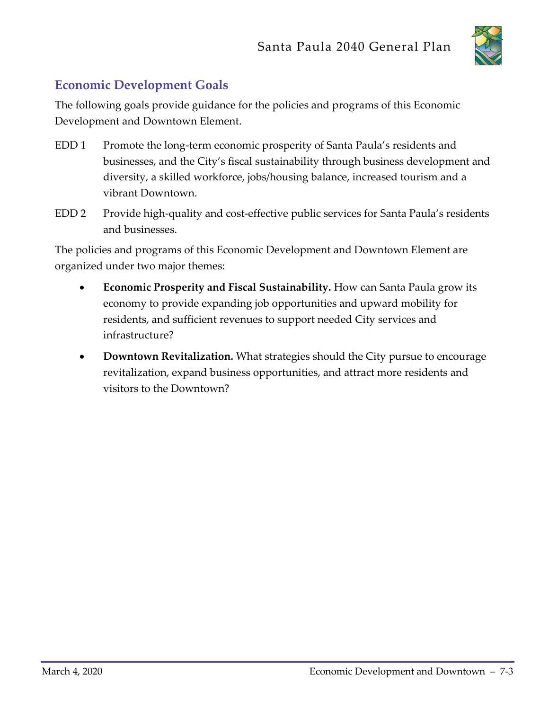

# **Economic Development Goals**

The following goals provide guidance for the policies and programs of this Economic Development and Downtown Element.

- EDD 1 Promote the long-term economic prosperity of Santa Paula's residents and businesses, and the City's fiscal sustainability through business development and diversity, a skilled workforce, jobs/housing balance, increased tourism and a vibrant Downtown.
- EDD 2 Provide high-quality and cost-effective public services for Santa Paula's residents and businesses.

The policies and programs of this Economic Development and Downtown Element are organized under two major themes:

- **Economic Prosperity and Fiscal Sustainability.** How can Santa Paula grow its economy to provide expanding job opportunities and upward mobility for residents, and sufficient revenues to support needed City services and infrastructure?
- **Downtown Revitalization.** What strategies should the City pursue to encourage revitalization, expand business opportunities, and attract more residents and visitors to the Downtown?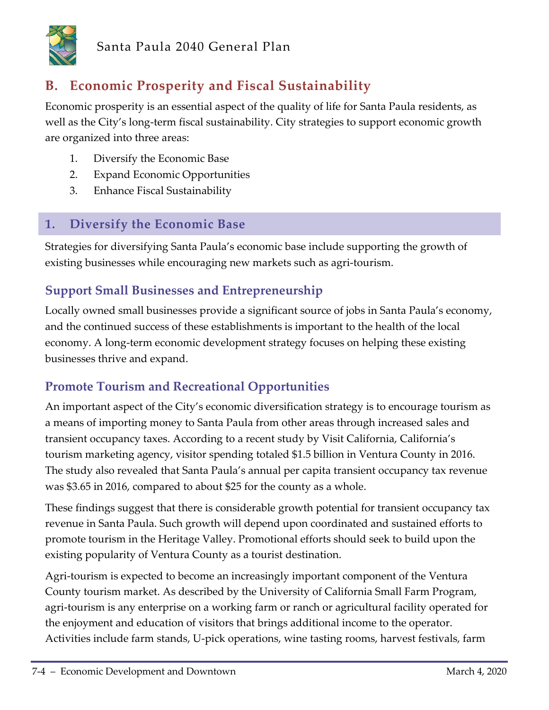

# **B. Economic Prosperity and Fiscal Sustainability**

Economic prosperity is an essential aspect of the quality of life for Santa Paula residents, as well as the City's long-term fiscal sustainability. City strategies to support economic growth are organized into three areas:

- 1. Diversify the Economic Base
- 2. Expand Economic Opportunities
- 3. Enhance Fiscal Sustainability

# **1. Diversify the Economic Base**

Strategies for diversifying Santa Paula's economic base include supporting the growth of existing businesses while encouraging new markets such as agri-tourism.

# **Support Small Businesses and Entrepreneurship**

Locally owned small businesses provide a significant source of jobs in Santa Paula's economy, and the continued success of these establishments is important to the health of the local economy. A long-term economic development strategy focuses on helping these existing businesses thrive and expand.

# **Promote Tourism and Recreational Opportunities**

An important aspect of the City's economic diversification strategy is to encourage tourism as a means of importing money to Santa Paula from other areas through increased sales and transient occupancy taxes. According to a recent study by Visit California, California's tourism marketing agency, visitor spending totaled \$1.5 billion in Ventura County in 2016. The study also revealed that Santa Paula's annual per capita transient occupancy tax revenue was \$3.65 in 2016, compared to about \$25 for the county as a whole.

These findings suggest that there is considerable growth potential for transient occupancy tax revenue in Santa Paula. Such growth will depend upon coordinated and sustained efforts to promote tourism in the Heritage Valley. Promotional efforts should seek to build upon the existing popularity of Ventura County as a tourist destination.

Agri-tourism is expected to become an increasingly important component of the Ventura County tourism market. As described by the University of California Small Farm Program, agri-tourism is any enterprise on a working farm or ranch or agricultural facility operated for the enjoyment and education of visitors that brings additional income to the operator. Activities include farm stands, U-pick operations, wine tasting rooms, harvest festivals, farm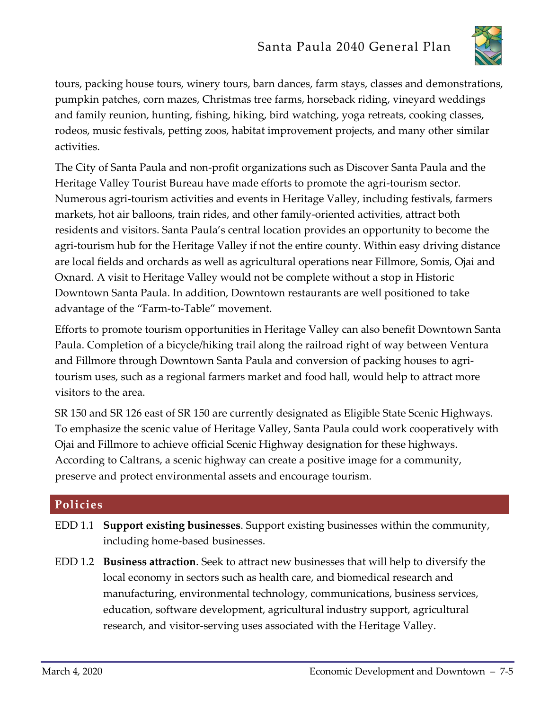

tours, packing house tours, winery tours, barn dances, farm stays, classes and demonstrations, pumpkin patches, corn mazes, Christmas tree farms, horseback riding, vineyard weddings and family reunion, hunting, fishing, hiking, bird watching, yoga retreats, cooking classes, rodeos, music festivals, petting zoos, habitat improvement projects, and many other similar activities.

The City of Santa Paula and non-profit organizations such as Discover Santa Paula and the Heritage Valley Tourist Bureau have made efforts to promote the agri-tourism sector. Numerous agri-tourism activities and events in Heritage Valley, including festivals, farmers markets, hot air balloons, train rides, and other family-oriented activities, attract both residents and visitors. Santa Paula's central location provides an opportunity to become the agri-tourism hub for the Heritage Valley if not the entire county. Within easy driving distance are local fields and orchards as well as agricultural operations near Fillmore, Somis, Ojai and Oxnard. A visit to Heritage Valley would not be complete without a stop in Historic Downtown Santa Paula. In addition, Downtown restaurants are well positioned to take advantage of the "Farm-to-Table" movement.

Efforts to promote tourism opportunities in Heritage Valley can also benefit Downtown Santa Paula. Completion of a bicycle/hiking trail along the railroad right of way between Ventura and Fillmore through Downtown Santa Paula and conversion of packing houses to agritourism uses, such as a regional farmers market and food hall, would help to attract more visitors to the area.

SR 150 and SR 126 east of SR 150 are currently designated as Eligible State Scenic Highways. To emphasize the scenic value of Heritage Valley, Santa Paula could work cooperatively with Ojai and Fillmore to achieve official Scenic Highway designation for these highways. According to Caltrans, a scenic highway can create a positive image for a community, preserve and protect environmental assets and encourage tourism.

### **Policies**

- EDD 1.1 **Support existing businesses**. Support existing businesses within the community, including home-based businesses.
- EDD 1.2 **Business attraction**. Seek to attract new businesses that will help to diversify the local economy in sectors such as health care, and biomedical research and manufacturing, environmental technology, communications, business services, education, software development, agricultural industry support, agricultural research, and visitor-serving uses associated with the Heritage Valley.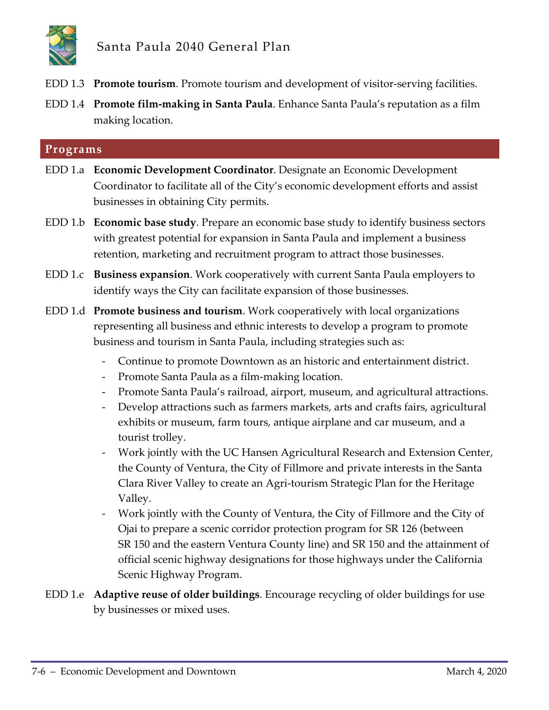

- EDD 1.3 **Promote tourism**. Promote tourism and development of visitor-serving facilities.
- EDD 1.4 **Promote film-making in Santa Paula**. Enhance Santa Paula's reputation as a film making location.

#### **Programs**

- EDD 1.a **Economic Development Coordinator**. Designate an Economic Development Coordinator to facilitate all of the City's economic development efforts and assist businesses in obtaining City permits.
- EDD 1.b **Economic base study**. Prepare an economic base study to identify business sectors with greatest potential for expansion in Santa Paula and implement a business retention, marketing and recruitment program to attract those businesses.
- EDD 1.c **Business expansion**. Work cooperatively with current Santa Paula employers to identify ways the City can facilitate expansion of those businesses.
- EDD 1.d **Promote business and tourism**. Work cooperatively with local organizations representing all business and ethnic interests to develop a program to promote business and tourism in Santa Paula, including strategies such as:
	- Continue to promote Downtown as an historic and entertainment district.
	- Promote Santa Paula as a film-making location.
	- Promote Santa Paula's railroad, airport, museum, and agricultural attractions.
	- Develop attractions such as farmers markets, arts and crafts fairs, agricultural exhibits or museum, farm tours, antique airplane and car museum, and a tourist trolley.
	- Work jointly with the UC Hansen Agricultural Research and Extension Center, the County of Ventura, the City of Fillmore and private interests in the Santa Clara River Valley to create an Agri-tourism Strategic Plan for the Heritage Valley.
	- Work jointly with the County of Ventura, the City of Fillmore and the City of Ojai to prepare a scenic corridor protection program for SR 126 (between SR 150 and the eastern Ventura County line) and SR 150 and the attainment of official scenic highway designations for those highways under the California Scenic Highway Program.
- EDD 1.e **Adaptive reuse of older buildings**. Encourage recycling of older buildings for use by businesses or mixed uses.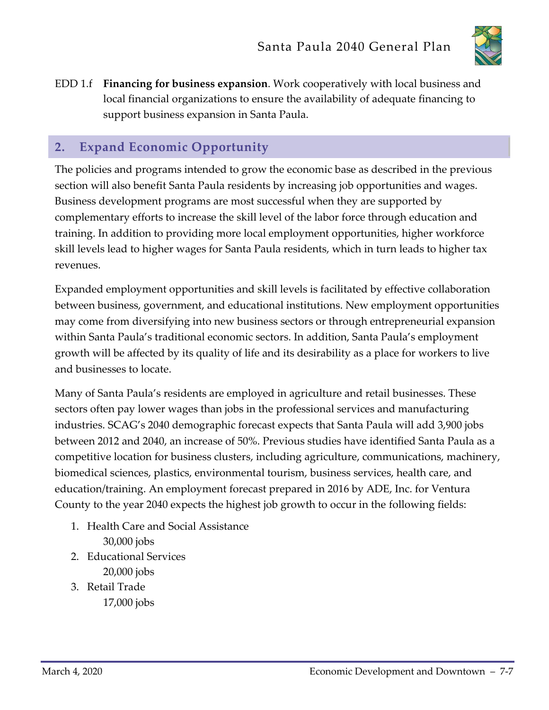

EDD 1.f **Financing for business expansion**. Work cooperatively with local business and local financial organizations to ensure the availability of adequate financing to support business expansion in Santa Paula.

# **2. Expand Economic Opportunity**

The policies and programs intended to grow the economic base as described in the previous section will also benefit Santa Paula residents by increasing job opportunities and wages. Business development programs are most successful when they are supported by complementary efforts to increase the skill level of the labor force through education and training. In addition to providing more local employment opportunities, higher workforce skill levels lead to higher wages for Santa Paula residents, which in turn leads to higher tax revenues.

Expanded employment opportunities and skill levels is facilitated by effective collaboration between business, government, and educational institutions. New employment opportunities may come from diversifying into new business sectors or through entrepreneurial expansion within Santa Paula's traditional economic sectors. In addition, Santa Paula's employment growth will be affected by its quality of life and its desirability as a place for workers to live and businesses to locate.

Many of Santa Paula's residents are employed in agriculture and retail businesses. These sectors often pay lower wages than jobs in the professional services and manufacturing industries. SCAG's 2040 demographic forecast expects that Santa Paula will add 3,900 jobs between 2012 and 2040, an increase of 50%. Previous studies have identified Santa Paula as a competitive location for business clusters, including agriculture, communications, machinery, biomedical sciences, plastics, environmental tourism, business services, health care, and education/training. An employment forecast prepared in 2016 by ADE, Inc. for Ventura County to the year 2040 expects the highest job growth to occur in the following fields:

- 1. Health Care and Social Assistance 30,000 jobs
- 2. Educational Services 20,000 jobs
- 3. Retail Trade 17,000 jobs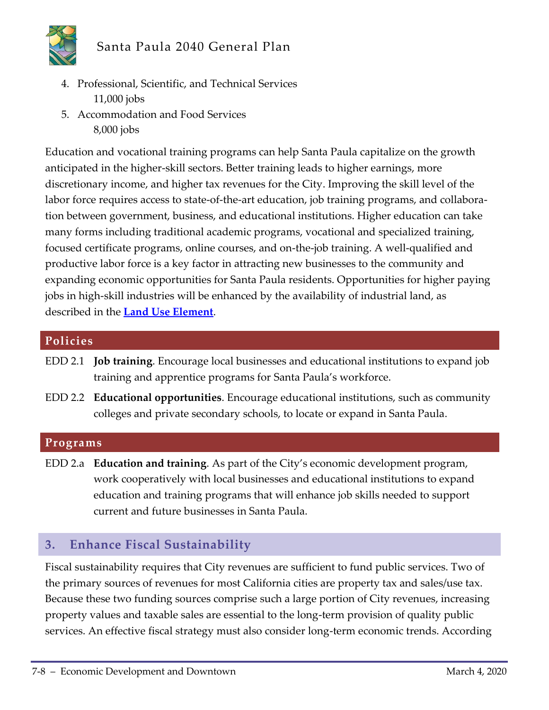

- 4. Professional, Scientific, and Technical Services 11,000 jobs
- 5. Accommodation and Food Services 8,000 jobs

Education and vocational training programs can help Santa Paula capitalize on the growth anticipated in the higher-skill sectors. Better training leads to higher earnings, more discretionary income, and higher tax revenues for the City. Improving the skill level of the labor force requires access to state-of-the-art education, job training programs, and collaboration between government, business, and educational institutions. Higher education can take many forms including traditional academic programs, vocational and specialized training, focused certificate programs, online courses, and on-the-job training. A well-qualified and productive labor force is a key factor in attracting new businesses to the community and expanding economic opportunities for Santa Paula residents. Opportunities for higher paying jobs in high-skill industries will be enhanced by the availability of industrial land, as described in the **Land Use Element**.

#### **Policies**

- EDD 2.1 **Job training**. Encourage local businesses and educational institutions to expand job training and apprentice programs for Santa Paula's workforce.
- EDD 2.2 **Educational opportunities**. Encourage educational institutions, such as community colleges and private secondary schools, to locate or expand in Santa Paula.

#### **Programs**

EDD 2.a **Education and training**. As part of the City's economic development program, work cooperatively with local businesses and educational institutions to expand education and training programs that will enhance job skills needed to support current and future businesses in Santa Paula.

### **3. Enhance Fiscal Sustainability**

Fiscal sustainability requires that City revenues are sufficient to fund public services. Two of the primary sources of revenues for most California cities are property tax and sales/use tax. Because these two funding sources comprise such a large portion of City revenues, increasing property values and taxable sales are essential to the long-term provision of quality public services. An effective fiscal strategy must also consider long-term economic trends. According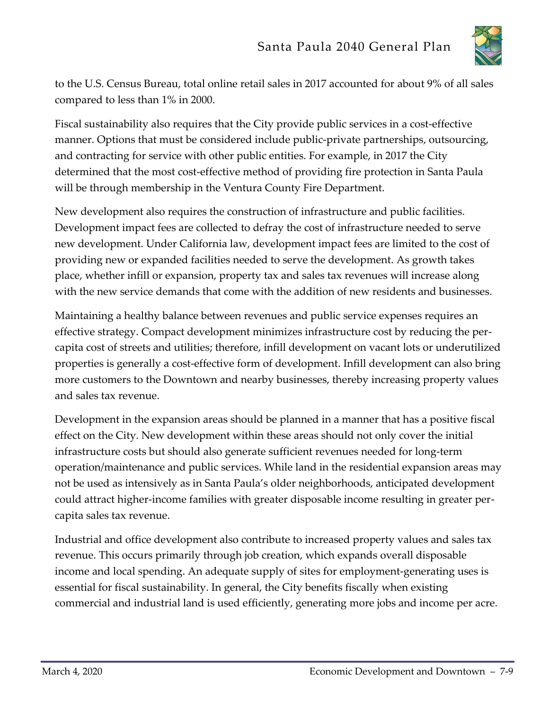

to the U.S. Census Bureau, total online retail sales in 2017 accounted for about 9% of all sales compared to less than 1% in 2000.

Fiscal sustainability also requires that the City provide public services in a cost-effective manner. Options that must be considered include public-private partnerships, outsourcing, and contracting for service with other public entities. For example, in 2017 the City determined that the most cost-effective method of providing fire protection in Santa Paula will be through membership in the Ventura County Fire Department.

New development also requires the construction of infrastructure and public facilities. Development impact fees are collected to defray the cost of infrastructure needed to serve new development. Under California law, development impact fees are limited to the cost of providing new or expanded facilities needed to serve the development. As growth takes place, whether infill or expansion, property tax and sales tax revenues will increase along with the new service demands that come with the addition of new residents and businesses.

Maintaining a healthy balance between revenues and public service expenses requires an effective strategy. Compact development minimizes infrastructure cost by reducing the percapita cost of streets and utilities; therefore, infill development on vacant lots or underutilized properties is generally a cost-effective form of development. Infill development can also bring more customers to the Downtown and nearby businesses, thereby increasing property values and sales tax revenue.

Development in the expansion areas should be planned in a manner that has a positive fiscal effect on the City. New development within these areas should not only cover the initial infrastructure costs but should also generate sufficient revenues needed for long-term operation/maintenance and public services. While land in the residential expansion areas may not be used as intensively as in Santa Paula's older neighborhoods, anticipated development could attract higher-income families with greater disposable income resulting in greater percapita sales tax revenue.

Industrial and office development also contribute to increased property values and sales tax revenue. This occurs primarily through job creation, which expands overall disposable income and local spending. An adequate supply of sites for employment-generating uses is essential for fiscal sustainability. In general, the City benefits fiscally when existing commercial and industrial land is used efficiently, generating more jobs and income per acre.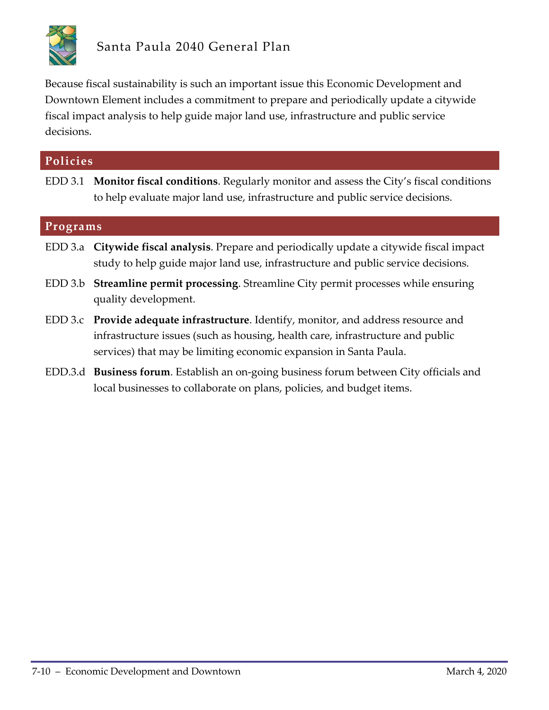

Because fiscal sustainability is such an important issue this Economic Development and Downtown Element includes a commitment to prepare and periodically update a citywide fiscal impact analysis to help guide major land use, infrastructure and public service decisions.

| Policies |                                                                                                                                                                                                                                             |  |
|----------|---------------------------------------------------------------------------------------------------------------------------------------------------------------------------------------------------------------------------------------------|--|
|          | EDD 3.1 Monitor fiscal conditions. Regularly monitor and assess the City's fiscal conditions<br>to help evaluate major land use, infrastructure and public service decisions.                                                               |  |
| Programs |                                                                                                                                                                                                                                             |  |
|          | EDD 3.a Citywide fiscal analysis. Prepare and periodically update a citywide fiscal impact<br>study to help guide major land use, infrastructure and public service decisions.                                                              |  |
|          | EDD 3.b Streamline permit processing. Streamline City permit processes while ensuring<br>quality development.                                                                                                                               |  |
|          | EDD 3.c Provide adequate infrastructure. Identify, monitor, and address resource and<br>infrastructure issues (such as housing, health care, infrastructure and public<br>services) that may be limiting economic expansion in Santa Paula. |  |
|          | EDD.3.d Business forum. Establish an on-going business forum between City officials and<br>local businesses to collaborate on plans, policies, and budget items.                                                                            |  |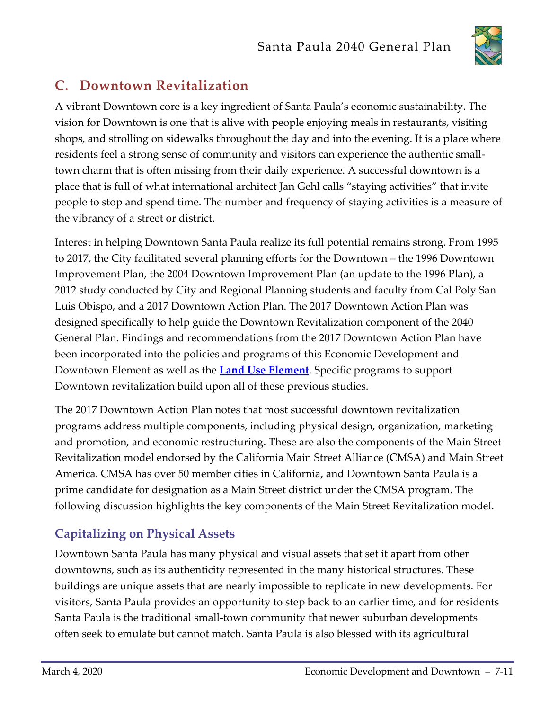

# **C. Downtown Revitalization**

A vibrant Downtown core is a key ingredient of Santa Paula's economic sustainability. The vision for Downtown is one that is alive with people enjoying meals in restaurants, visiting shops, and strolling on sidewalks throughout the day and into the evening. It is a place where residents feel a strong sense of community and visitors can experience the authentic smalltown charm that is often missing from their daily experience. A successful downtown is a place that is full of what international architect Jan Gehl calls "staying activities" that invite people to stop and spend time. The number and frequency of staying activities is a measure of the vibrancy of a street or district.

Interest in helping Downtown Santa Paula realize its full potential remains strong. From 1995 to 2017, the City facilitated several planning efforts for the Downtown – the 1996 Downtown Improvement Plan, the 2004 Downtown Improvement Plan (an update to the 1996 Plan), a 2012 study conducted by City and Regional Planning students and faculty from Cal Poly San Luis Obispo, and a 2017 Downtown Action Plan. The 2017 Downtown Action Plan was designed specifically to help guide the Downtown Revitalization component of the 2040 General Plan. Findings and recommendations from the 2017 Downtown Action Plan have been incorporated into the policies and programs of this Economic Development and Downtown Element as well as the **Land Use Element**. Specific programs to support Downtown revitalization build upon all of these previous studies.

The 2017 Downtown Action Plan notes that most successful downtown revitalization programs address multiple components, including physical design, organization, marketing and promotion, and economic restructuring. These are also the components of the Main Street Revitalization model endorsed by the California Main Street Alliance (CMSA) and Main Street America. CMSA has over 50 member cities in California, and Downtown Santa Paula is a prime candidate for designation as a Main Street district under the CMSA program. The following discussion highlights the key components of the Main Street Revitalization model.

# **Capitalizing on Physical Assets**

Downtown Santa Paula has many physical and visual assets that set it apart from other downtowns, such as its authenticity represented in the many historical structures. These buildings are unique assets that are nearly impossible to replicate in new developments. For visitors, Santa Paula provides an opportunity to step back to an earlier time, and for residents Santa Paula is the traditional small-town community that newer suburban developments often seek to emulate but cannot match. Santa Paula is also blessed with its agricultural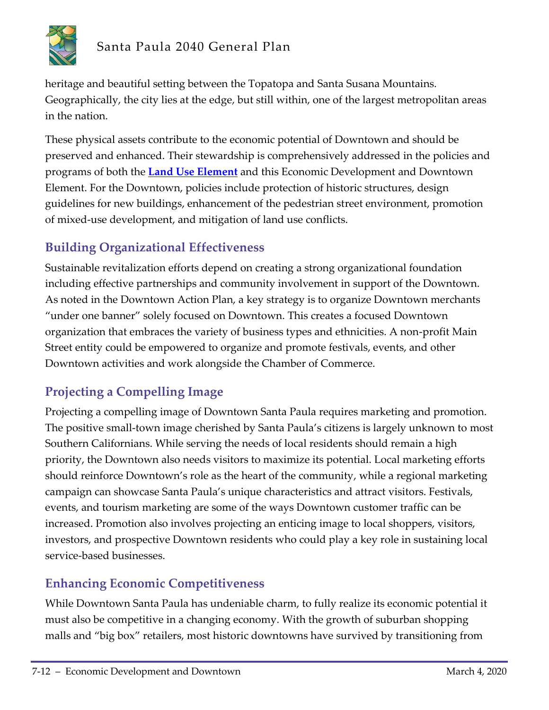

heritage and beautiful setting between the Topatopa and Santa Susana Mountains. Geographically, the city lies at the edge, but still within, one of the largest metropolitan areas in the nation.

These physical assets contribute to the economic potential of Downtown and should be preserved and enhanced. Their stewardship is comprehensively addressed in the policies and programs of both the **Land Use Element** and this Economic Development and Downtown Element. For the Downtown, policies include protection of historic structures, design guidelines for new buildings, enhancement of the pedestrian street environment, promotion of mixed-use development, and mitigation of land use conflicts.

# **Building Organizational Effectiveness**

Sustainable revitalization efforts depend on creating a strong organizational foundation including effective partnerships and community involvement in support of the Downtown. As noted in the Downtown Action Plan, a key strategy is to organize Downtown merchants "under one banner" solely focused on Downtown. This creates a focused Downtown organization that embraces the variety of business types and ethnicities. A non-profit Main Street entity could be empowered to organize and promote festivals, events, and other Downtown activities and work alongside the Chamber of Commerce.

# **Projecting a Compelling Image**

Projecting a compelling image of Downtown Santa Paula requires marketing and promotion. The positive small-town image cherished by Santa Paula's citizens is largely unknown to most Southern Californians. While serving the needs of local residents should remain a high priority, the Downtown also needs visitors to maximize its potential. Local marketing efforts should reinforce Downtown's role as the heart of the community, while a regional marketing campaign can showcase Santa Paula's unique characteristics and attract visitors. Festivals, events, and tourism marketing are some of the ways Downtown customer traffic can be increased. Promotion also involves projecting an enticing image to local shoppers, visitors, investors, and prospective Downtown residents who could play a key role in sustaining local service-based businesses.

# **Enhancing Economic Competitiveness**

While Downtown Santa Paula has undeniable charm, to fully realize its economic potential it must also be competitive in a changing economy. With the growth of suburban shopping malls and "big box" retailers, most historic downtowns have survived by transitioning from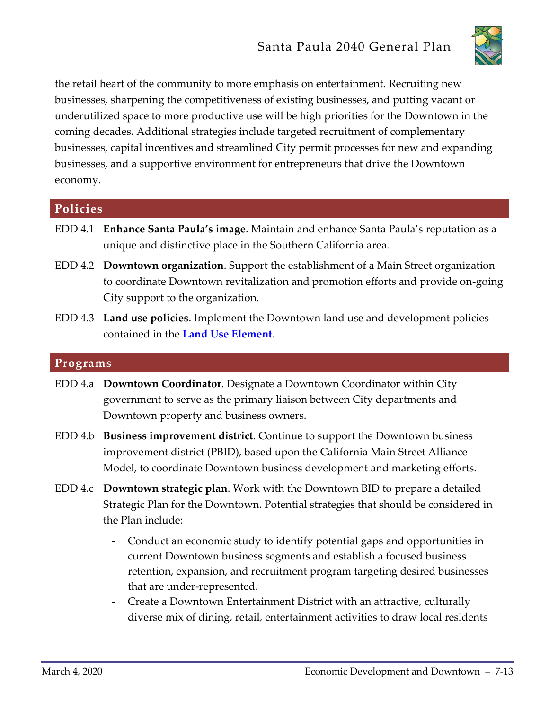

the retail heart of the community to more emphasis on entertainment. Recruiting new businesses, sharpening the competitiveness of existing businesses, and putting vacant or underutilized space to more productive use will be high priorities for the Downtown in the coming decades. Additional strategies include targeted recruitment of complementary businesses, capital incentives and streamlined City permit processes for new and expanding businesses, and a supportive environment for entrepreneurs that drive the Downtown economy.

#### **Policies**

- EDD 4.1 **Enhance Santa Paula's image**. Maintain and enhance Santa Paula's reputation as a unique and distinctive place in the Southern California area.
- EDD 4.2 **Downtown organization**. Support the establishment of a Main Street organization to coordinate Downtown revitalization and promotion efforts and provide on-going City support to the organization.
- EDD 4.3 **Land use policies**. Implement the Downtown land use and development policies contained in the **Land Use Element**.

#### **Programs**

- EDD 4.a **Downtown Coordinator**. Designate a Downtown Coordinator within City government to serve as the primary liaison between City departments and Downtown property and business owners.
- EDD 4.b **Business improvement district**. Continue to support the Downtown business improvement district (PBID), based upon the California Main Street Alliance Model, to coordinate Downtown business development and marketing efforts.
- EDD 4.c **Downtown strategic plan**. Work with the Downtown BID to prepare a detailed Strategic Plan for the Downtown. Potential strategies that should be considered in the Plan include:
	- Conduct an economic study to identify potential gaps and opportunities in current Downtown business segments and establish a focused business retention, expansion, and recruitment program targeting desired businesses that are under-represented.
	- Create a Downtown Entertainment District with an attractive, culturally diverse mix of dining, retail, entertainment activities to draw local residents